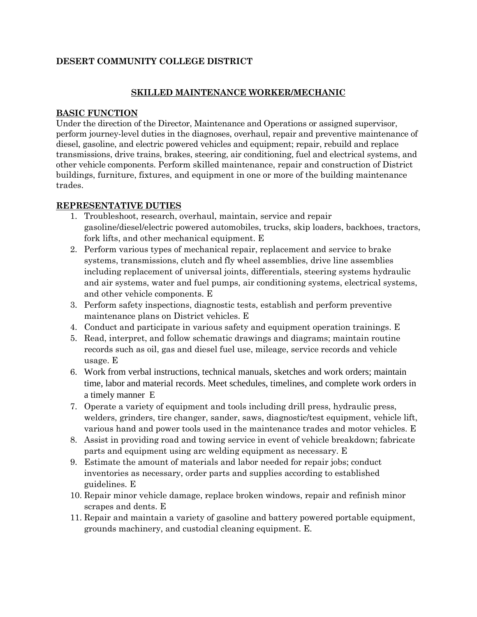## **DESERT COMMUNITY COLLEGE DISTRICT**

### **SKILLED MAINTENANCE WORKER/MECHANIC**

#### **BASIC FUNCTION**

Under the direction of the Director, Maintenance and Operations or assigned supervisor, perform journey-level duties in the diagnoses, overhaul, repair and preventive maintenance of diesel, gasoline, and electric powered vehicles and equipment; repair, rebuild and replace transmissions, drive trains, brakes, steering, air conditioning, fuel and electrical systems, and other vehicle components. Perform skilled maintenance, repair and construction of District buildings, furniture, fixtures, and equipment in one or more of the building maintenance trades.

### **REPRESENTATIVE DUTIES**

- 1. Troubleshoot, research, overhaul, maintain, service and repair gasoline/diesel/electric powered automobiles, trucks, skip loaders, backhoes, tractors, fork lifts, and other mechanical equipment. E
- 2. Perform various types of mechanical repair, replacement and service to brake systems, transmissions, clutch and fly wheel assemblies, drive line assemblies including replacement of universal joints, differentials, steering systems hydraulic and air systems, water and fuel pumps, air conditioning systems, electrical systems, and other vehicle components. E
- 3. Perform safety inspections, diagnostic tests, establish and perform preventive maintenance plans on District vehicles. E
- 4. Conduct and participate in various safety and equipment operation trainings. E
- 5. Read, interpret, and follow schematic drawings and diagrams; maintain routine records such as oil, gas and diesel fuel use, mileage, service records and vehicle usage. E
- 6. Work from verbal instructions, technical manuals, sketches and work orders; maintain time, labor and material records. Meet schedules, timelines, and complete work orders in a timely manner E
- 7. Operate a variety of equipment and tools including drill press, hydraulic press, welders, grinders, tire changer, sander, saws, diagnostic/test equipment, vehicle lift, various hand and power tools used in the maintenance trades and motor vehicles. E
- 8. Assist in providing road and towing service in event of vehicle breakdown; fabricate parts and equipment using arc welding equipment as necessary. E
- 9. Estimate the amount of materials and labor needed for repair jobs; conduct inventories as necessary, order parts and supplies according to established guidelines. E
- 10. Repair minor vehicle damage, replace broken windows, repair and refinish minor scrapes and dents. E
- 11. Repair and maintain a variety of gasoline and battery powered portable equipment, grounds machinery, and custodial cleaning equipment. E.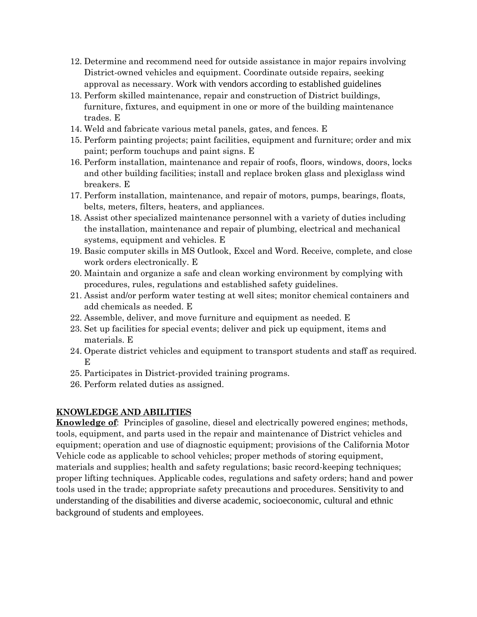- 12. Determine and recommend need for outside assistance in major repairs involving District-owned vehicles and equipment. Coordinate outside repairs, seeking approval as necessary. Work with vendors according to established guidelines
- 13. Perform skilled maintenance, repair and construction of District buildings, furniture, fixtures, and equipment in one or more of the building maintenance trades. E
- 14. Weld and fabricate various metal panels, gates, and fences. E
- 15. Perform painting projects; paint facilities, equipment and furniture; order and mix paint; perform touchups and paint signs. E
- 16. Perform installation, maintenance and repair of roofs, floors, windows, doors, locks and other building facilities; install and replace broken glass and plexiglass wind breakers. E
- 17. Perform installation, maintenance, and repair of motors, pumps, bearings, floats, belts, meters, filters, heaters, and appliances.
- 18. Assist other specialized maintenance personnel with a variety of duties including the installation, maintenance and repair of plumbing, electrical and mechanical systems, equipment and vehicles. E
- 19. Basic computer skills in MS Outlook, Excel and Word. Receive, complete, and close work orders electronically. E
- 20. Maintain and organize a safe and clean working environment by complying with procedures, rules, regulations and established safety guidelines.
- 21. Assist and/or perform water testing at well sites; monitor chemical containers and add chemicals as needed. E
- 22. Assemble, deliver, and move furniture and equipment as needed. E
- 23. Set up facilities for special events; deliver and pick up equipment, items and materials. E
- 24. Operate district vehicles and equipment to transport students and staff as required. E
- 25. Participates in District-provided training programs.
- 26. Perform related duties as assigned.

# **KNOWLEDGE AND ABILITIES**

**Knowledge of**: Principles of gasoline, diesel and electrically powered engines; methods, tools, equipment, and parts used in the repair and maintenance of District vehicles and equipment; operation and use of diagnostic equipment; provisions of the California Motor Vehicle code as applicable to school vehicles; proper methods of storing equipment, materials and supplies; health and safety regulations; basic record-keeping techniques; proper lifting techniques. Applicable codes, regulations and safety orders; hand and power tools used in the trade; appropriate safety precautions and procedures. Sensitivity to and understanding of the disabilities and diverse academic, socioeconomic, cultural and ethnic background of students and employees.